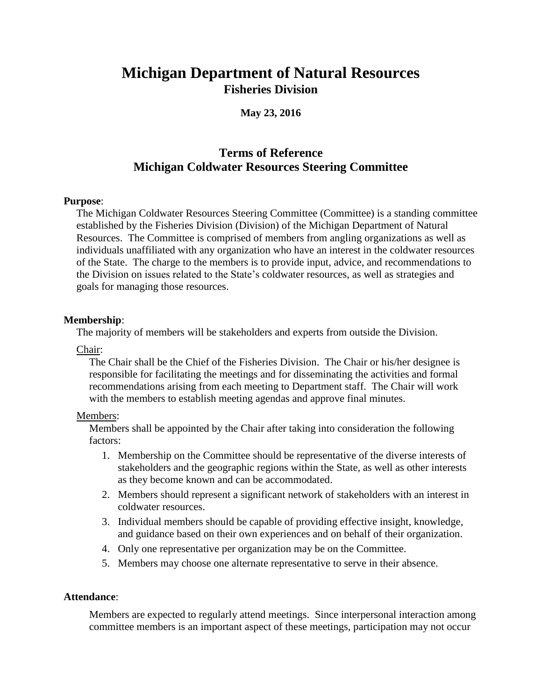# **Michigan Department of Natural Resources Fisheries Division**

**May 23, 2016**

# **Terms of Reference Michigan Coldwater Resources Steering Committee**

#### **Purpose**:

The Michigan Coldwater Resources Steering Committee (Committee) is a standing committee established by the Fisheries Division (Division) of the Michigan Department of Natural Resources. The Committee is comprised of members from angling organizations as well as individuals unaffiliated with any organization who have an interest in the coldwater resources of the State. The charge to the members is to provide input, advice, and recommendations to the Division on issues related to the State's coldwater resources, as well as strategies and goals for managing those resources.

#### **Membership**:

The majority of members will be stakeholders and experts from outside the Division.

Chair:

The Chair shall be the Chief of the Fisheries Division. The Chair or his/her designee is responsible for facilitating the meetings and for disseminating the activities and formal recommendations arising from each meeting to Department staff. The Chair will work with the members to establish meeting agendas and approve final minutes.

#### Members:

Members shall be appointed by the Chair after taking into consideration the following factors:

- 1. Membership on the Committee should be representative of the diverse interests of stakeholders and the geographic regions within the State, as well as other interests as they become known and can be accommodated.
- 2. Members should represent a significant network of stakeholders with an interest in coldwater resources.
- 3. Individual members should be capable of providing effective insight, knowledge, and guidance based on their own experiences and on behalf of their organization.
- 4. Only one representative per organization may be on the Committee.
- 5. Members may choose one alternate representative to serve in their absence.

#### **Attendance**:

Members are expected to regularly attend meetings. Since interpersonal interaction among committee members is an important aspect of these meetings, participation may not occur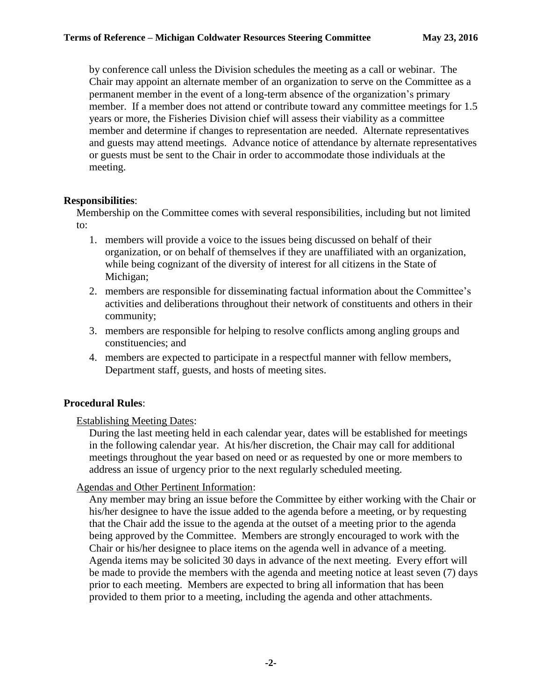by conference call unless the Division schedules the meeting as a call or webinar. The Chair may appoint an alternate member of an organization to serve on the Committee as a permanent member in the event of a long-term absence of the organization's primary member. If a member does not attend or contribute toward any committee meetings for 1.5 years or more, the Fisheries Division chief will assess their viability as a committee member and determine if changes to representation are needed. Alternate representatives and guests may attend meetings. Advance notice of attendance by alternate representatives or guests must be sent to the Chair in order to accommodate those individuals at the meeting.

### **Responsibilities**:

Membership on the Committee comes with several responsibilities, including but not limited to:

- 1. members will provide a voice to the issues being discussed on behalf of their organization, or on behalf of themselves if they are unaffiliated with an organization, while being cognizant of the diversity of interest for all citizens in the State of Michigan;
- 2. members are responsible for disseminating factual information about the Committee's activities and deliberations throughout their network of constituents and others in their community;
- 3. members are responsible for helping to resolve conflicts among angling groups and constituencies; and
- 4. members are expected to participate in a respectful manner with fellow members, Department staff, guests, and hosts of meeting sites.

# **Procedural Rules**:

#### Establishing Meeting Dates:

During the last meeting held in each calendar year, dates will be established for meetings in the following calendar year. At his/her discretion, the Chair may call for additional meetings throughout the year based on need or as requested by one or more members to address an issue of urgency prior to the next regularly scheduled meeting.

# Agendas and Other Pertinent Information:

Any member may bring an issue before the Committee by either working with the Chair or his/her designee to have the issue added to the agenda before a meeting, or by requesting that the Chair add the issue to the agenda at the outset of a meeting prior to the agenda being approved by the Committee. Members are strongly encouraged to work with the Chair or his/her designee to place items on the agenda well in advance of a meeting. Agenda items may be solicited 30 days in advance of the next meeting. Every effort will be made to provide the members with the agenda and meeting notice at least seven (7) days prior to each meeting. Members are expected to bring all information that has been provided to them prior to a meeting, including the agenda and other attachments.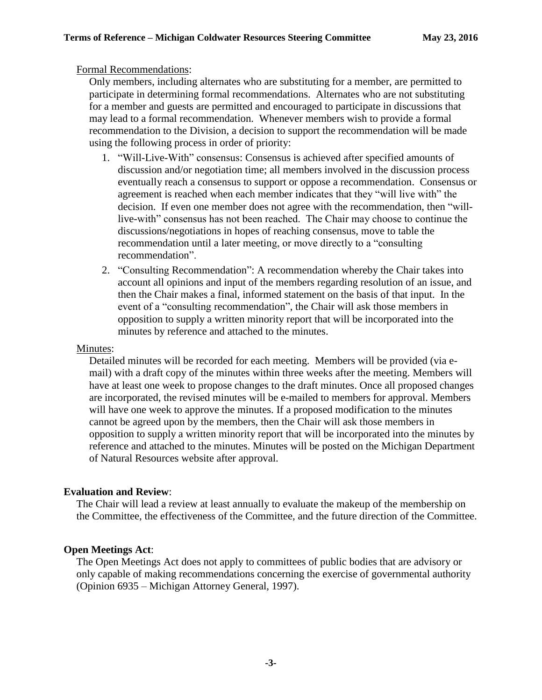#### Formal Recommendations:

Only members, including alternates who are substituting for a member, are permitted to participate in determining formal recommendations. Alternates who are not substituting for a member and guests are permitted and encouraged to participate in discussions that may lead to a formal recommendation. Whenever members wish to provide a formal recommendation to the Division, a decision to support the recommendation will be made using the following process in order of priority:

- 1. "Will-Live-With" consensus: Consensus is achieved after specified amounts of discussion and/or negotiation time; all members involved in the discussion process eventually reach a consensus to support or oppose a recommendation. Consensus or agreement is reached when each member indicates that they "will live with" the decision. If even one member does not agree with the recommendation, then "willlive-with" consensus has not been reached. The Chair may choose to continue the discussions/negotiations in hopes of reaching consensus, move to table the recommendation until a later meeting, or move directly to a "consulting recommendation".
- 2. "Consulting Recommendation": A recommendation whereby the Chair takes into account all opinions and input of the members regarding resolution of an issue, and then the Chair makes a final, informed statement on the basis of that input. In the event of a "consulting recommendation", the Chair will ask those members in opposition to supply a written minority report that will be incorporated into the minutes by reference and attached to the minutes.

#### Minutes:

Detailed minutes will be recorded for each meeting. Members will be provided (via email) with a draft copy of the minutes within three weeks after the meeting. Members will have at least one week to propose changes to the draft minutes. Once all proposed changes are incorporated, the revised minutes will be e-mailed to members for approval. Members will have one week to approve the minutes. If a proposed modification to the minutes cannot be agreed upon by the members, then the Chair will ask those members in opposition to supply a written minority report that will be incorporated into the minutes by reference and attached to the minutes. Minutes will be posted on the Michigan Department of Natural Resources website after approval.

#### **Evaluation and Review**:

The Chair will lead a review at least annually to evaluate the makeup of the membership on the Committee, the effectiveness of the Committee, and the future direction of the Committee.

#### **Open Meetings Act**:

The Open Meetings Act does not apply to committees of public bodies that are advisory or only capable of making recommendations concerning the exercise of governmental authority (Opinion 6935 – Michigan Attorney General, 1997).